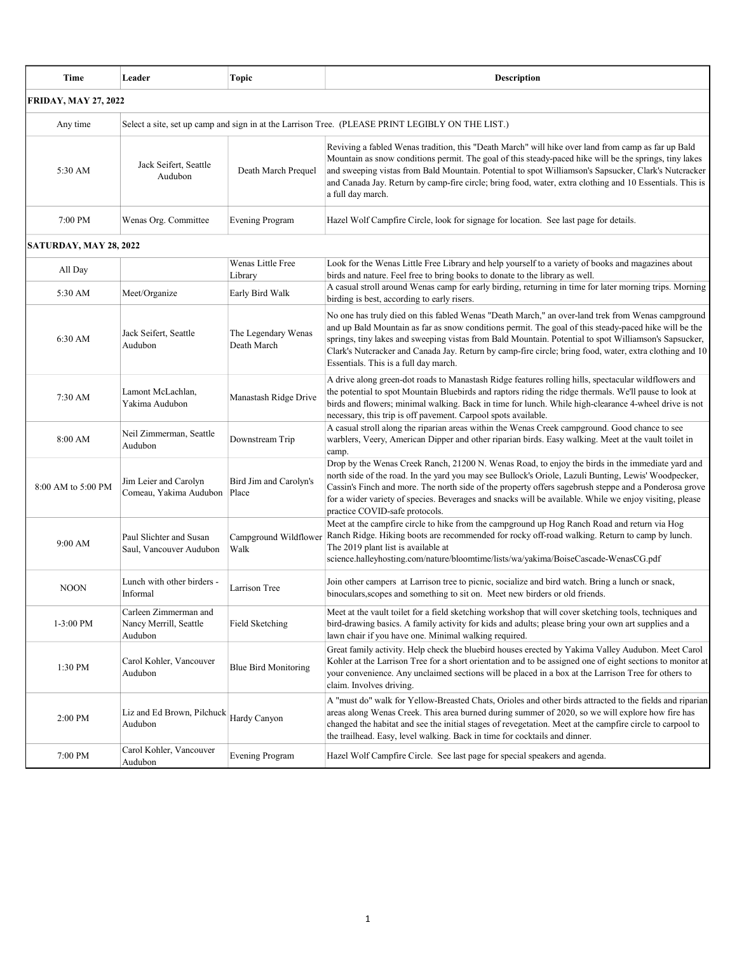| Time                        | Leader                                                                                           | <b>Topic</b>                       | Description                                                                                                                                                                                                                                                                                                                                                                                                                                                             |  |  |
|-----------------------------|--------------------------------------------------------------------------------------------------|------------------------------------|-------------------------------------------------------------------------------------------------------------------------------------------------------------------------------------------------------------------------------------------------------------------------------------------------------------------------------------------------------------------------------------------------------------------------------------------------------------------------|--|--|
| <b>FRIDAY, MAY 27, 2022</b> |                                                                                                  |                                    |                                                                                                                                                                                                                                                                                                                                                                                                                                                                         |  |  |
| Any time                    | Select a site, set up camp and sign in at the Larrison Tree. (PLEASE PRINT LEGIBLY ON THE LIST.) |                                    |                                                                                                                                                                                                                                                                                                                                                                                                                                                                         |  |  |
| 5:30 AM                     | Jack Seifert, Seattle<br>Audubon                                                                 | Death March Prequel                | Reviving a fabled Wenas tradition, this "Death March" will hike over land from camp as far up Bald<br>Mountain as snow conditions permit. The goal of this steady-paced hike will be the springs, tiny lakes<br>and sweeping vistas from Bald Mountain. Potential to spot Williamson's Sapsucker, Clark's Nutcracker<br>and Canada Jay. Return by camp-fire circle; bring food, water, extra clothing and 10 Essentials. This is<br>a full day march.                   |  |  |
| 7:00 PM                     | Wenas Org. Committee                                                                             | <b>Evening Program</b>             | Hazel Wolf Campfire Circle, look for signage for location. See last page for details.                                                                                                                                                                                                                                                                                                                                                                                   |  |  |
| SATURDAY, MAY 28, 2022      |                                                                                                  |                                    |                                                                                                                                                                                                                                                                                                                                                                                                                                                                         |  |  |
| All Day                     |                                                                                                  | Wenas Little Free<br>Library       | Look for the Wenas Little Free Library and help yourself to a variety of books and magazines about<br>birds and nature. Feel free to bring books to donate to the library as well.                                                                                                                                                                                                                                                                                      |  |  |
| 5:30 AM                     | Meet/Organize                                                                                    | Early Bird Walk                    | A casual stroll around Wenas camp for early birding, returning in time for later morning trips. Morning<br>birding is best, according to early risers.                                                                                                                                                                                                                                                                                                                  |  |  |
| 6:30 AM                     | Jack Seifert, Seattle<br>Audubon                                                                 | The Legendary Wenas<br>Death March | No one has truly died on this fabled Wenas "Death March," an over-land trek from Wenas campground<br>and up Bald Mountain as far as snow conditions permit. The goal of this steady-paced hike will be the<br>springs, tiny lakes and sweeping vistas from Bald Mountain. Potential to spot Williamson's Sapsucker,<br>Clark's Nutcracker and Canada Jay. Return by camp-fire circle; bring food, water, extra clothing and 10<br>Essentials. This is a full day march. |  |  |
| 7:30 AM                     | Lamont McLachlan,<br>Yakima Audubon                                                              | Manastash Ridge Drive              | A drive along green-dot roads to Manastash Ridge features rolling hills, spectacular wildflowers and<br>the potential to spot Mountain Bluebirds and raptors riding the ridge thermals. We'll pause to look at<br>birds and flowers; minimal walking. Back in time for lunch. While high-clearance 4-wheel drive is not<br>necessary, this trip is off pavement. Carpool spots available.                                                                               |  |  |
| 8:00 AM                     | Neil Zimmerman, Seattle<br>Audubon                                                               | Downstream Trip                    | A casual stroll along the riparian areas within the Wenas Creek campground. Good chance to see<br>warblers, Veery, American Dipper and other riparian birds. Easy walking. Meet at the vault toilet in<br>camp.                                                                                                                                                                                                                                                         |  |  |
| 8:00 AM to 5:00 PM          | Jim Leier and Carolyn<br>Comeau, Yakima Audubon                                                  | Bird Jim and Carolyn's<br>Place    | Drop by the Wenas Creek Ranch, 21200 N. Wenas Road, to enjoy the birds in the immediate yard and<br>north side of the road. In the yard you may see Bullock's Oriole, Lazuli Bunting, Lewis' Woodpecker,<br>Cassin's Finch and more. The north side of the property offers sagebrush steppe and a Ponderosa grove<br>for a wider variety of species. Beverages and snacks will be available. While we enjoy visiting, please<br>practice COVID-safe protocols.          |  |  |
| 9:00 AM                     | Paul Slichter and Susan<br>Saul, Vancouver Audubon                                               | Campground Wildflower<br>Walk      | Meet at the campfire circle to hike from the campground up Hog Ranch Road and return via Hog<br>Ranch Ridge. Hiking boots are recommended for rocky off-road walking. Return to camp by lunch.<br>The 2019 plant list is available at<br>science.halleyhosting.com/nature/bloomtime/lists/wa/yakima/BoiseCascade-WenasCG.pdf                                                                                                                                            |  |  |
| <b>NOON</b>                 | Lunch with other birders -<br>Informal                                                           | Larrison Tree                      | Join other campers at Larrison tree to picnic, socialize and bird watch. Bring a lunch or snack,<br>binoculars, scopes and something to sit on. Meet new birders or old friends.                                                                                                                                                                                                                                                                                        |  |  |
| 1-3:00 PM                   | Carleen Zimmerman and<br>Nancy Merrill, Seattle<br>Audubon                                       | Field Sketching                    | Meet at the vault toilet for a field sketching workshop that will cover sketching tools, techniques and<br>bird-drawing basics. A family activity for kids and adults; please bring your own art supplies and a<br>lawn chair if you have one. Minimal walking required.                                                                                                                                                                                                |  |  |
| 1:30 PM                     | Carol Kohler, Vancouver<br>Audubon                                                               | <b>Blue Bird Monitoring</b>        | Great family activity. Help check the bluebird houses erected by Yakima Valley Audubon. Meet Carol<br>Kohler at the Larrison Tree for a short orientation and to be assigned one of eight sections to monitor at<br>your convenience. Any unclaimed sections will be placed in a box at the Larrison Tree for others to<br>claim. Involves driving.                                                                                                                     |  |  |
| 2:00 PM                     | Liz and Ed Brown, Pilchuck<br>Audubon                                                            | Hardy Canyon                       | A "must do" walk for Yellow-Breasted Chats, Orioles and other birds attracted to the fields and riparian<br>areas along Wenas Creek. This area burned during summer of 2020, so we will explore how fire has<br>changed the habitat and see the initial stages of revegetation. Meet at the campfire circle to carpool to<br>the trailhead. Easy, level walking. Back in time for cocktails and dinner.                                                                 |  |  |
| 7:00 PM                     | Carol Kohler, Vancouver<br>Audubon                                                               | <b>Evening Program</b>             | Hazel Wolf Campfire Circle. See last page for special speakers and agenda.                                                                                                                                                                                                                                                                                                                                                                                              |  |  |